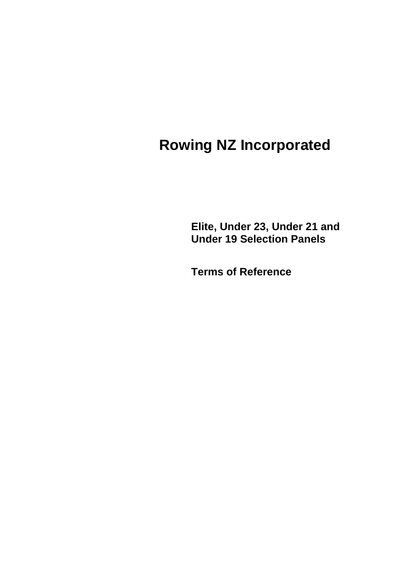# **Rowing NZ Incorporated**

**Elite, Under 23, Under 21 and Under 19 Selection Panels**

**Terms of Reference**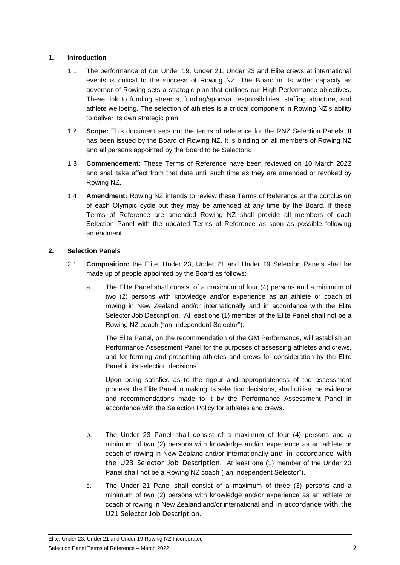## **1. Introduction**

- 1.1 The performance of our Under 19, Under 21, Under 23 and Elite crews at international events is critical to the success of Rowing NZ. The Board in its wider capacity as governor of Rowing sets a strategic plan that outlines our High Performance objectives. These link to funding streams, funding/sponsor responsibilities, staffing structure, and athlete wellbeing. The selection of athletes is a critical component in Rowing NZ's ability to deliver its own strategic plan.
- 1.2 **Scope:** This document sets out the terms of reference for the RNZ Selection Panels. It has been issued by the Board of Rowing NZ. It is binding on all members of Rowing NZ and all persons appointed by the Board to be Selectors.
- 1.3 **Commencement:** These Terms of Reference have been reviewed on 10 March 2022 and shall take effect from that date until such time as they are amended or revoked by Rowing NZ.
- 1.4 **Amendment:** Rowing NZ intends to review these Terms of Reference at the conclusion of each Olympic cycle but they may be amended at any time by the Board. If these Terms of Reference are amended Rowing NZ shall provide all members of each Selection Panel with the updated Terms of Reference as soon as possible following amendment.

# **2. Selection Panels**

- 2.1 **Composition:** the Elite, Under 23, Under 21 and Under 19 Selection Panels shall be made up of people appointed by the Board as follows:
	- a. The Elite Panel shall consist of a maximum of four (4) persons and a minimum of two (2) persons with knowledge and/or experience as an athlete or coach of rowing in New Zealand and/or internationally and in accordance with the Elite Selector Job Description. At least one (1) member of the Elite Panel shall not be a Rowing NZ coach ("an Independent Selector").

The Elite Panel, on the recommendation of the GM Performance, will establish an Performance Assessment Panel for the purposes of assessing athletes and crews, and for forming and presenting athletes and crews for consideration by the Elite Panel in its selection decisions

Upon being satisfied as to the rigour and appropriateness of the assessment process, the Elite Panel in making its selection decisions, shall utilise the evidence and recommendations made to it by the Performance Assessment Panel in accordance with the Selection Policy for athletes and crews.

- b. The Under 23 Panel shall consist of a maximum of four (4) persons and a minimum of two (2) persons with knowledge and/or experience as an athlete or coach of rowing in New Zealand and/or internationally and in accordance with the U23 Selector Job Description. At least one (1) member of the Under 23 Panel shall not be a Rowing NZ coach ("an Independent Selector").
- c. The Under 21 Panel shall consist of a maximum of three (3) persons and a minimum of two (2) persons with knowledge and/or experience as an athlete or coach of rowing in New Zealand and/or international and in accordance with the U21 Selector Job Description.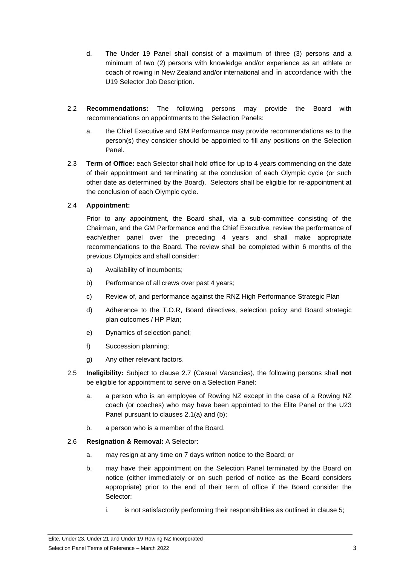- d. The Under 19 Panel shall consist of a maximum of three (3) persons and a minimum of two (2) persons with knowledge and/or experience as an athlete or coach of rowing in New Zealand and/or international and in accordance with the U19 Selector Job Description.
- 2.2 **Recommendations:** The following persons may provide the Board with recommendations on appointments to the Selection Panels:
	- a. the Chief Executive and GM Performance may provide recommendations as to the person(s) they consider should be appointed to fill any positions on the Selection Panel.
- 2.3 **Term of Office:** each Selector shall hold office for up to 4 years commencing on the date of their appointment and terminating at the conclusion of each Olympic cycle (or such other date as determined by the Board). Selectors shall be eligible for re-appointment at the conclusion of each Olympic cycle.

## 2.4 **Appointment:**

Prior to any appointment, the Board shall, via a sub-committee consisting of the Chairman, and the GM Performance and the Chief Executive, review the performance of each/either panel over the preceding 4 years and shall make appropriate recommendations to the Board. The review shall be completed within 6 months of the previous Olympics and shall consider:

- a) Availability of incumbents;
- b) Performance of all crews over past 4 years;
- c) Review of, and performance against the RNZ High Performance Strategic Plan
- d) Adherence to the T.O.R, Board directives, selection policy and Board strategic plan outcomes / HP Plan;
- e) Dynamics of selection panel;
- f) Succession planning;
- g) Any other relevant factors.
- 2.5 **Ineligibility:** Subject to clause 2.7 (Casual Vacancies), the following persons shall **not** be eligible for appointment to serve on a Selection Panel:
	- a. a person who is an employee of Rowing NZ except in the case of a Rowing NZ coach (or coaches) who may have been appointed to the Elite Panel or the U23 Panel pursuant to clauses 2.1(a) and (b);
	- b. a person who is a member of the Board.

## 2.6 **Resignation & Removal:** A Selector:

- a. may resign at any time on 7 days written notice to the Board; or
- b. may have their appointment on the Selection Panel terminated by the Board on notice (either immediately or on such period of notice as the Board considers appropriate) prior to the end of their term of office if the Board consider the Selector:
	- i. is not satisfactorily performing their responsibilities as outlined in clause 5;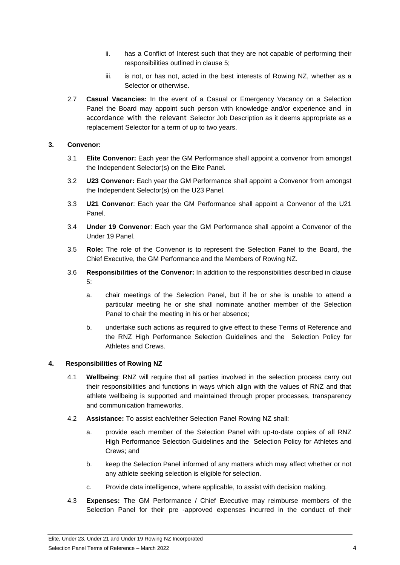- ii. has a Conflict of Interest such that they are not capable of performing their responsibilities outlined in clause 5;
- iii. is not, or has not, acted in the best interests of Rowing NZ, whether as a Selector or otherwise.
- 2.7 **Casual Vacancies:** In the event of a Casual or Emergency Vacancy on a Selection Panel the Board may appoint such person with knowledge and/or experience and in accordance with the relevant Selector Job Description as it deems appropriate as a replacement Selector for a term of up to two years.

#### **3. Convenor:**

- 3.1 **Elite Convenor:** Each year the GM Performance shall appoint a convenor from amongst the Independent Selector(s) on the Elite Panel.
- 3.2 **U23 Convenor:** Each year the GM Performance shall appoint a Convenor from amongst the Independent Selector(s) on the U23 Panel.
- 3.3 **U21 Convenor**: Each year the GM Performance shall appoint a Convenor of the U21 Panel.
- 3.4 **Under 19 Convenor**: Each year the GM Performance shall appoint a Convenor of the Under 19 Panel.
- 3.5 **Role:** The role of the Convenor is to represent the Selection Panel to the Board, the Chief Executive, the GM Performance and the Members of Rowing NZ.
- 3.6 **Responsibilities of the Convenor:** In addition to the responsibilities described in clause 5:
	- a. chair meetings of the Selection Panel, but if he or she is unable to attend a particular meeting he or she shall nominate another member of the Selection Panel to chair the meeting in his or her absence;
	- b. undertake such actions as required to give effect to these Terms of Reference and the RNZ High Performance Selection Guidelines and the Selection Policy for Athletes and Crews.

#### **4. Responsibilities of Rowing NZ**

- 4.1 **Wellbeing**: RNZ will require that all parties involved in the selection process carry out their responsibilities and functions in ways which align with the values of RNZ and that athlete wellbeing is supported and maintained through proper processes, transparency and communication frameworks.
- 4.2 **Assistance:** To assist each/either Selection Panel Rowing NZ shall:
	- a. provide each member of the Selection Panel with up-to-date copies of all RNZ High Performance Selection Guidelines and the Selection Policy for Athletes and Crews; and
	- b. keep the Selection Panel informed of any matters which may affect whether or not any athlete seeking selection is eligible for selection.
	- c. Provide data intelligence, where applicable, to assist with decision making.
- 4.3 **Expenses:** The GM Performance / Chief Executive may reimburse members of the Selection Panel for their pre -approved expenses incurred in the conduct of their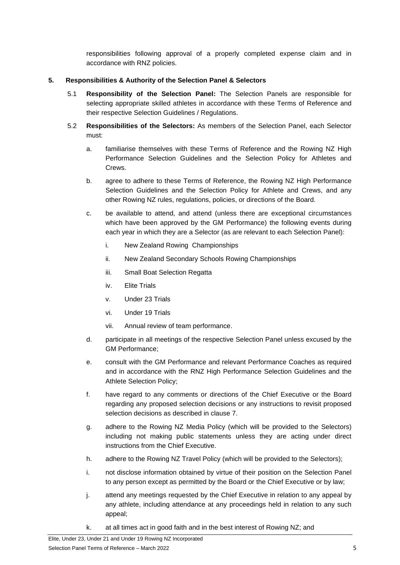responsibilities following approval of a properly completed expense claim and in accordance with RNZ policies.

## **5. Responsibilities & Authority of the Selection Panel & Selectors**

- 5.1 **Responsibility of the Selection Panel:** The Selection Panels are responsible for selecting appropriate skilled athletes in accordance with these Terms of Reference and their respective Selection Guidelines / Regulations.
- 5.2 **Responsibilities of the Selectors:** As members of the Selection Panel, each Selector must:
	- a. familiarise themselves with these Terms of Reference and the Rowing NZ High Performance Selection Guidelines and the Selection Policy for Athletes and Crews.
	- b. agree to adhere to these Terms of Reference, the Rowing NZ High Performance Selection Guidelines and the Selection Policy for Athlete and Crews, and any other Rowing NZ rules, regulations, policies, or directions of the Board.
	- c. be available to attend, and attend (unless there are exceptional circumstances which have been approved by the GM Performance) the following events during each year in which they are a Selector (as are relevant to each Selection Panel):
		- i. New Zealand Rowing Championships
		- ii. New Zealand Secondary Schools Rowing Championships
		- iii. Small Boat Selection Regatta
		- iv. Elite Trials
		- v. Under 23 Trials
		- vi. Under 19 Trials
		- vii. Annual review of team performance.
	- d. participate in all meetings of the respective Selection Panel unless excused by the GM Performance;
	- e. consult with the GM Performance and relevant Performance Coaches as required and in accordance with the RNZ High Performance Selection Guidelines and the Athlete Selection Policy;
	- f. have regard to any comments or directions of the Chief Executive or the Board regarding any proposed selection decisions or any instructions to revisit proposed selection decisions as described in clause [7.](#page-5-0)
	- g. adhere to the Rowing NZ Media Policy (which will be provided to the Selectors) including not making public statements unless they are acting under direct instructions from the Chief Executive.
	- h. adhere to the Rowing NZ Travel Policy (which will be provided to the Selectors);
	- i. not disclose information obtained by virtue of their position on the Selection Panel to any person except as permitted by the Board or the Chief Executive or by law;
	- j. attend any meetings requested by the Chief Executive in relation to any appeal by any athlete, including attendance at any proceedings held in relation to any such appeal;
	- k. at all times act in good faith and in the best interest of Rowing NZ; and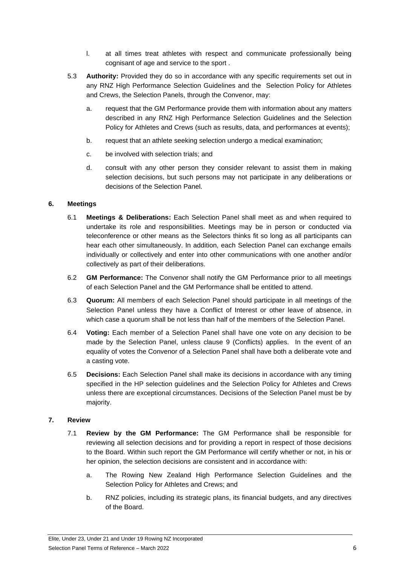- l. at all times treat athletes with respect and communicate professionally being cognisant of age and service to the sport .
- 5.3 **Authority:** Provided they do so in accordance with any specific requirements set out in any RNZ High Performance Selection Guidelines and the Selection Policy for Athletes and Crews, the Selection Panels, through the Convenor, may:
	- a. request that the GM Performance provide them with information about any matters described in any RNZ High Performance Selection Guidelines and the Selection Policy for Athletes and Crews (such as results, data, and performances at events);
	- b. request that an athlete seeking selection undergo a medical examination;
	- c. be involved with selection trials; and
	- d. consult with any other person they consider relevant to assist them in making selection decisions, but such persons may not participate in any deliberations or decisions of the Selection Panel.

#### **6. Meetings**

- 6.1 **Meetings & Deliberations:** Each Selection Panel shall meet as and when required to undertake its role and responsibilities. Meetings may be in person or conducted via teleconference or other means as the Selectors thinks fit so long as all participants can hear each other simultaneously. In addition, each Selection Panel can exchange emails individually or collectively and enter into other communications with one another and/or collectively as part of their deliberations.
- 6.2 **GM Performance:** The Convenor shall notify the GM Performance prior to all meetings of each Selection Panel and the GM Performance shall be entitled to attend.
- 6.3 **Quorum:** All members of each Selection Panel should participate in all meetings of the Selection Panel unless they have a Conflict of Interest or other leave of absence, in which case a quorum shall be not less than half of the members of the Selection Panel.
- 6.4 **Voting:** Each member of a Selection Panel shall have one vote on any decision to be made by the Selection Panel, unless clause 9 (Conflicts) applies. In the event of an equality of votes the Convenor of a Selection Panel shall have both a deliberate vote and a casting vote.
- 6.5 **Decisions:** Each Selection Panel shall make its decisions in accordance with any timing specified in the HP selection guidelines and the Selection Policy for Athletes and Crews unless there are exceptional circumstances. Decisions of the Selection Panel must be by majority.

#### <span id="page-5-0"></span>**7. Review**

- 7.1 **Review by the GM Performance:** The GM Performance shall be responsible for reviewing all selection decisions and for providing a report in respect of those decisions to the Board. Within such report the GM Performance will certify whether or not, in his or her opinion, the selection decisions are consistent and in accordance with:
	- a. The Rowing New Zealand High Performance Selection Guidelines and the Selection Policy for Athletes and Crews; and
	- b. RNZ policies, including its strategic plans, its financial budgets, and any directives of the Board.